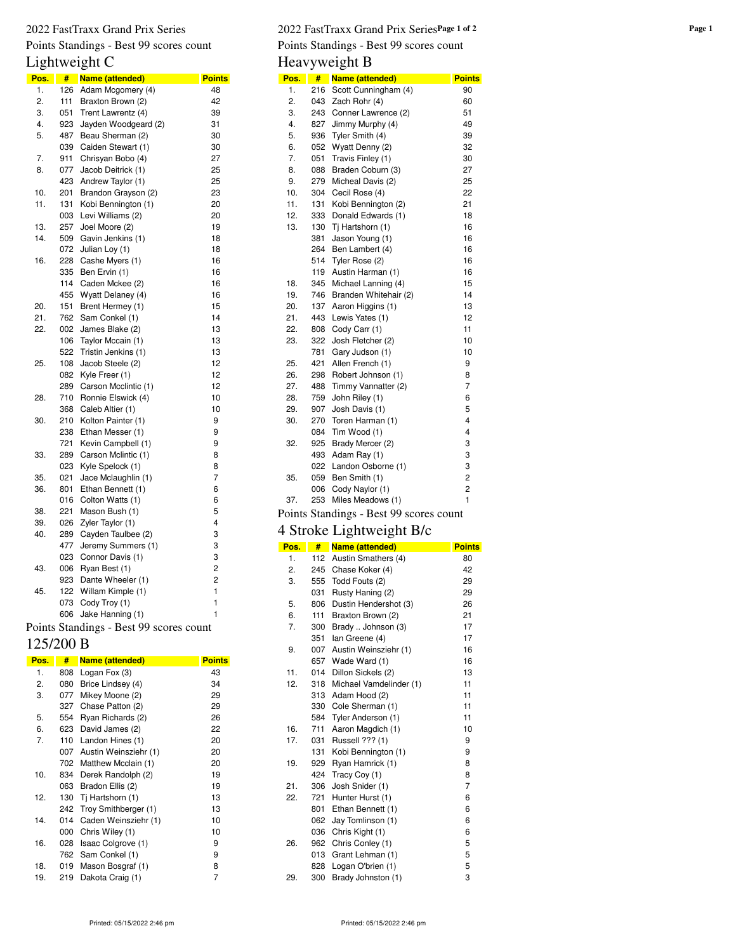# Points Standings - Best 99 scores count

# Lightweight C

| Pos. | #   | Name (attended)      | <b>Points</b>  |
|------|-----|----------------------|----------------|
| 1.   | 126 | Adam Mcgomery (4)    | 48             |
| 2.   | 111 | Braxton Brown (2)    | 42             |
| 3.   | 051 | Trent Lawrentz (4)   | 39             |
| 4.   | 923 | Jayden Woodgeard (2) | 31             |
| 5.   | 487 | Beau Sherman (2)     | 30             |
|      | 039 | Caiden Stewart (1)   | 30             |
| 7.   | 911 | Chrisyan Bobo (4)    | 27             |
| 8.   | 077 | Jacob Deitrick (1)   | 25             |
|      | 423 | Andrew Taylor (1)    | 25             |
| 10.  | 201 | Brandon Grayson (2)  | 23             |
| 11.  | 131 | Kobi Bennington (1)  | 20             |
|      | 003 | Levi Williams (2)    | 20             |
| 13.  | 257 | Joel Moore (2)       | 19             |
| 14.  | 509 | Gavin Jenkins (1)    | 18             |
|      | 072 | Julian Loy (1)       | 18             |
| 16.  | 228 | Cashe Myers (1)      | 16             |
|      | 335 | Ben Ervin (1)        | 16             |
|      | 114 | Caden Mckee (2)      | 16             |
|      | 455 | Wyatt Delaney (4)    | 16             |
| 20.  | 151 | Brent Hermey (1)     | 15             |
| 21.  | 762 | Sam Conkel (1)       | 14             |
| 22.  | 002 | James Blake (2)      | 13             |
|      | 106 | Taylor Mccain (1)    | 13             |
|      | 522 | Tristin Jenkins (1)  | 13             |
| 25.  | 108 | Jacob Steele (2)     | 12             |
|      | 082 | Kyle Freer (1)       | 12             |
|      | 289 | Carson Mcclintic (1) | 12             |
| 28.  | 710 | Ronnie Elswick (4)   | 10             |
|      | 368 | Caleb Altier (1)     | 10             |
| 30.  | 210 | Kolton Painter (1)   | 9              |
|      | 238 | Ethan Messer (1)     | 9              |
|      | 721 | Kevin Campbell (1)   | 9              |
| 33.  | 289 | Carson Mclintic (1)  | 8              |
|      | 023 | Kyle Spelock (1)     | 8              |
| 35.  | 021 | Jace Mclaughlin (1)  | 7              |
| 36.  | 801 | Ethan Bennett (1)    | 6              |
|      | 016 | Colton Watts (1)     | 6              |
| 38.  | 221 | Mason Bush (1)       | 5              |
| 39.  | 026 | Zyler Taylor (1)     | 4              |
| 40.  | 289 | Cayden Taulbee (2)   | 3              |
|      | 477 | Jeremy Summers (1)   | 3              |
|      | 023 | Connor Davis (1)     | 3              |
| 43.  | 006 | Ryan Best (1)        | 2              |
|      | 923 | Dante Wheeler (1)    | $\overline{c}$ |
| 45.  | 122 | Willam Kimple (1)    | $\mathbf{1}$   |
|      | 073 | Cody Troy (1)        | 1              |
|      | 606 | Jake Hanning (1)     | $\mathbf{1}$   |

#### Points Standings - Best 99 scores count

#### 125/200 B

| Pos. | #   | Name (attended)       | <b>Points</b> |
|------|-----|-----------------------|---------------|
| 1.   | 808 | Logan Fox (3)         | 43            |
| 2.   | 080 | Brice Lindsey (4)     | 34            |
| 3.   | 077 | Mikey Moone (2)       | 29            |
|      | 327 | Chase Patton (2)      | 29            |
| 5.   | 554 | Ryan Richards (2)     | 26            |
| 6.   | 623 | David James (2)       | 22            |
| 7.   | 110 | Landon Hines (1)      | 20            |
|      | 007 | Austin Weinsziehr (1) | 20            |
|      | 702 | Matthew Mcclain (1)   | 20            |
| 10.  | 834 | Derek Randolph (2)    | 19            |
|      | 063 | Bradon Ellis (2)      | 19            |
| 12.  | 130 | Tj Hartshorn (1)      | 13            |
|      | 242 | Troy Smithberger (1)  | 13            |
| 14.  | 014 | Caden Weinsziehr (1)  | 10            |
|      | 000 | Chris Wiley (1)       | 10            |
| 16.  | 028 | Isaac Colgrove (1)    | 9             |
|      | 762 | Sam Conkel (1)        | 9             |
| 18.  | 019 | Mason Bosgraf (1)     | 8             |
| 19.  | 219 | Dakota Craig (1)      | 7             |

#### 2022 FastTraxx Grand Prix Series **Page 1 of 2** 2022 FastTraxx Grand Prix Series **Page 1 of 2** Points Standings - Best 99 scores count

Heavyweight B

| Pos.                                    | #   | Name (attended)       | <b>Points</b>  |
|-----------------------------------------|-----|-----------------------|----------------|
|                                         |     |                       |                |
| 1.                                      | 216 | Scott Cunningham (4)  | 90             |
| 2.                                      | 043 | Zach Rohr (4)         | 60             |
| 3.                                      | 243 | Conner Lawrence (2)   | 51             |
| 4.                                      | 827 | Jimmy Murphy (4)      | 49             |
| 5.                                      | 936 | Tyler Smith (4)       | 39             |
| 6.                                      | 052 | Wyatt Denny (2)       | 32             |
| 7.                                      | 051 | Travis Finley (1)     | 30             |
| 8.                                      | 088 | Braden Coburn (3)     | 27             |
| 9.                                      | 279 | Micheal Davis (2)     | 25             |
| 10.                                     | 304 | Cecil Rose (4)        | 22             |
| 11.                                     | 131 | Kobi Bennington (2)   | 21             |
| 12.                                     | 333 | Donald Edwards (1)    | 18             |
| 13.                                     | 130 | Tj Hartshorn (1)      | 16             |
|                                         | 381 | Jason Young (1)       | 16             |
|                                         | 264 | Ben Lambert (4)       | 16             |
|                                         | 514 | Tyler Rose (2)        | 16             |
|                                         | 119 | Austin Harman (1)     | 16             |
| 18.                                     | 345 | Michael Lanning (4)   | 15             |
| 19.                                     | 746 | Branden Whitehair (2) | 14             |
| 20.                                     | 137 | Aaron Higgins (1)     | 13             |
| 21.                                     | 443 | Lewis Yates (1)       | 12             |
| 22.                                     | 808 | Cody Carr (1)         | 11             |
| 23.                                     | 322 | Josh Fletcher (2)     | 10             |
|                                         | 781 | Gary Judson (1)       | 10             |
| 25.                                     | 421 | Allen French (1)      | 9              |
| 26.                                     | 298 | Robert Johnson (1)    | 8              |
| 27.                                     | 488 | Timmy Vannatter (2)   | $\overline{7}$ |
| 28.                                     | 759 | John Riley (1)        | 6              |
| 29.                                     | 907 | Josh Davis (1)        | 5              |
| 30.                                     | 270 | Toren Harman (1)      | 4              |
|                                         | 084 | Tim Wood (1)          | 4              |
| 32.                                     | 925 | Brady Mercer (2)      | 3              |
|                                         | 493 | Adam Ray (1)          | 3              |
|                                         | 022 | Landon Osborne (1)    | 3              |
| 35.                                     | 059 | Ben Smith (1)         | $\overline{c}$ |
|                                         | 006 | Cody Naylor (1)       | $\overline{c}$ |
| 37.                                     | 253 | Miles Meadows (1)     | $\mathbf{1}$   |
| Points Standings - Best 99 scores count |     |                       |                |

## 4 Stroke Lightweight B/c

| Pos. | #   | Name (attended)         | <b>Points</b>  |
|------|-----|-------------------------|----------------|
| 1.   | 112 | Austin Smathers (4)     | 80             |
| 2.   | 245 | Chase Koker (4)         | 42             |
| 3.   | 555 | Todd Fouts (2)          | 29             |
|      | 031 | Rusty Haning (2)        | 29             |
| 5.   | 806 | Dustin Hendershot (3)   | 26             |
| 6.   | 111 | Braxton Brown (2)       | 21             |
| 7.   | 300 | Brady  Johnson (3)      | 17             |
|      | 351 | lan Greene (4)          | 17             |
| 9.   | 007 | Austin Weinsziehr (1)   | 16             |
|      | 657 | Wade Ward (1)           | 16             |
| 11.  | 014 | Dillon Sickels (2)      | 13             |
| 12.  | 318 | Michael Vamdelinder (1) | 11             |
|      | 313 | Adam Hood (2)           | 11             |
|      | 330 | Cole Sherman (1)        | 11             |
|      | 584 | Tyler Anderson (1)      | 11             |
| 16.  | 711 | Aaron Magdich (1)       | 10             |
| 17.  | 031 | Russell ??? (1)         | 9              |
|      | 131 | Kobi Bennington (1)     | 9              |
| 19.  | 929 | Ryan Hamrick (1)        | 8              |
|      | 424 | Tracy Coy (1)           | 8              |
| 21.  | 306 | Josh Snider (1)         | $\overline{7}$ |
| 22.  | 721 | Hunter Hurst (1)        | 6              |
|      | 801 | Ethan Bennett (1)       | 6              |
|      | 062 | Jay Tomlinson (1)       | 6              |
|      | 036 | Chris Kight (1)         | 6              |
| 26.  | 962 | Chris Conley (1)        | 5              |
|      | 013 | Grant Lehman (1)        | 5              |
|      | 828 | Logan O'brien (1)       | 5              |
| 29.  | 300 | Brady Johnston (1)      | 3              |